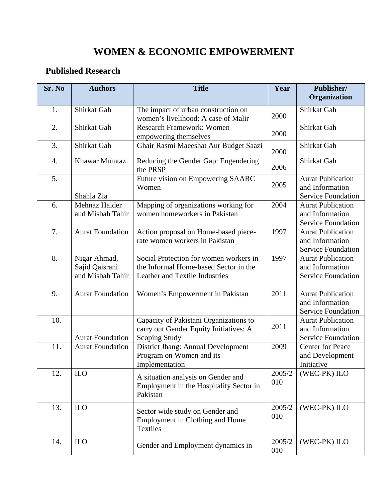## **WOMEN & ECONOMIC EMPOWERMENT**

## **Published Research**

| Sr. No | <b>Authors</b>                                     | <b>Title</b>                                                                                                      | Year          | Publisher/                                                               |
|--------|----------------------------------------------------|-------------------------------------------------------------------------------------------------------------------|---------------|--------------------------------------------------------------------------|
|        |                                                    |                                                                                                                   |               | Organization                                                             |
| 1.     | Shirkat Gah                                        | The impact of urban construction on                                                                               | 2000          | Shirkat Gah                                                              |
|        |                                                    | women's livelihood: A case of Malir                                                                               |               |                                                                          |
| 2.     | Shirkat Gah                                        | <b>Research Framework: Women</b><br>empowering themselves                                                         | 2000          | Shirkat Gah                                                              |
| 3.     | Shirkat Gah                                        | Ghair Rasmi Maeeshat Aur Budget Saazi                                                                             | 2000          | Shirkat Gah                                                              |
| 4.     | Khawar Mumtaz                                      | Reducing the Gender Gap: Engendering<br>the PRSP                                                                  | 2006          | Shirkat Gah                                                              |
| 5.     | Shahla Zia                                         | Future vision on Empowering SAARC<br>Women                                                                        | 2005          | <b>Aurat Publication</b><br>and Information<br><b>Service Foundation</b> |
| 6.     | Mehnaz Haider<br>and Misbah Tahir                  | Mapping of organizations working for<br>women homeworkers in Pakistan                                             | 2004          | <b>Aurat Publication</b><br>and Information<br><b>Service Foundation</b> |
| 7.     | <b>Aurat Foundation</b>                            | Action proposal on Home-based piece-<br>rate women workers in Pakistan                                            | 1997          | <b>Aurat Publication</b><br>and Information<br><b>Service Foundation</b> |
| 8.     | Nigar Ahmad,<br>Sajid Qaisrani<br>and Misbah Tahir | Social Protection for women workers in<br>the Informal Home-based Sector in the<br>Leather and Textile Industries | 1997          | <b>Aurat Publication</b><br>and Information<br><b>Service Foundation</b> |
| 9.     | <b>Aurat Foundation</b>                            | Women's Empowerment in Pakistan                                                                                   | 2011          | <b>Aurat Publication</b><br>and Information<br><b>Service Foundation</b> |
| 10.    | <b>Aurat Foundation</b>                            | Capacity of Pakistani Organizations to<br>carry out Gender Equity Initiatives: A<br><b>Scoping Study</b>          | 2011          | <b>Aurat Publication</b><br>and Information<br><b>Service Foundation</b> |
| 11.    | <b>Aurat Foundation</b>                            | District Jhang: Annual Development<br>Program on Women and its<br>Implementation                                  | 2009          | <b>Center for Peace</b><br>and Development<br>Initiative                 |
| 12.    | $_{\text{ILO}}$                                    | A situation analysis on Gender and<br>Employment in the Hospitality Sector in<br>Pakistan                         | 2005/2<br>010 | (WEC-PK) ILO                                                             |
| 13.    | <b>ILO</b>                                         | Sector wide study on Gender and<br>Employment in Clothing and Home<br><b>Textiles</b>                             | 2005/2<br>010 | (WEC-PK) ILO                                                             |
| 14.    | ILO                                                | Gender and Employment dynamics in                                                                                 | 2005/2<br>010 | (WEC-PK) ILO                                                             |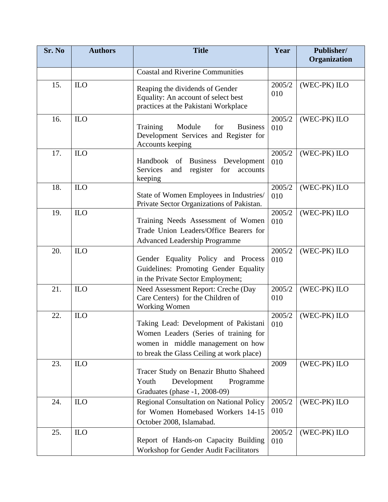| Sr. No | <b>Authors</b> | <b>Title</b>                                                                                                                                                     | Year          | Publisher/   |
|--------|----------------|------------------------------------------------------------------------------------------------------------------------------------------------------------------|---------------|--------------|
|        |                |                                                                                                                                                                  |               | Organization |
|        |                | <b>Coastal and Riverine Communities</b>                                                                                                                          |               |              |
| 15.    | <b>ILO</b>     | Reaping the dividends of Gender<br>Equality: An account of select best<br>practices at the Pakistani Workplace                                                   | 2005/2<br>010 | (WEC-PK) ILO |
| 16.    | ILO            | Training<br>Module<br>for<br><b>Business</b><br>Development Services and Register for<br><b>Accounts keeping</b>                                                 | 2005/2<br>010 | (WEC-PK) ILO |
| 17.    | <b>ILO</b>     | Handbook of Business<br>Development<br>Services<br>and<br>register<br>for<br>accounts<br>keeping                                                                 | 2005/2<br>010 | (WEC-PK) ILO |
| 18.    | ILO            | State of Women Employees in Industries/<br>Private Sector Organizations of Pakistan.                                                                             | 2005/2<br>010 | (WEC-PK) ILO |
| 19.    | ILO            | Training Needs Assessment of Women<br>Trade Union Leaders/Office Bearers for<br><b>Advanced Leadership Programme</b>                                             | 2005/2<br>010 | (WEC-PK) ILO |
| 20.    | ILO            | Gender Equality Policy and Process<br>Guidelines: Promoting Gender Equality<br>in the Private Sector Employment;                                                 | 2005/2<br>010 | (WEC-PK) ILO |
| 21.    | <b>ILO</b>     | Need Assessment Report: Creche (Day<br>Care Centers) for the Children of<br><b>Working Women</b>                                                                 | 2005/2<br>010 | (WEC-PK) ILO |
| 22.    | ILO            | Taking Lead: Development of Pakistani<br>Women Leaders (Series of training for<br>women in middle management on how<br>to break the Glass Ceiling at work place) | 2005/2<br>010 | (WEC-PK) ILO |
| 23.    | <b>ILO</b>     | Tracer Study on Benazir Bhutto Shaheed<br>Development<br>Youth<br>Programme<br>Graduates (phase -1, 2008-09)                                                     | 2009          | (WEC-PK) ILO |
| 24.    | ILO            | Regional Consultation on National Policy<br>for Women Homebased Workers 14-15<br>October 2008, Islamabad.                                                        | 2005/2<br>010 | (WEC-PK) ILO |
| 25.    | ILO            | Report of Hands-on Capacity Building<br>Workshop for Gender Audit Facilitators                                                                                   | 2005/2<br>010 | (WEC-PK) ILO |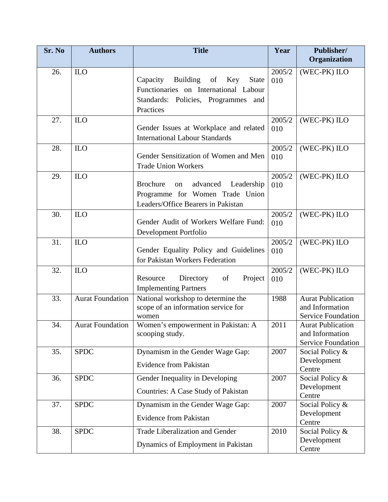| Sr. No | <b>Authors</b>          | <b>Title</b>                                                                                                                                          | Year          | Publisher/<br>Organization                                               |
|--------|-------------------------|-------------------------------------------------------------------------------------------------------------------------------------------------------|---------------|--------------------------------------------------------------------------|
| 26.    | <b>ILO</b>              | Capacity<br><b>Building</b><br>of<br>Key<br><b>State</b><br>Functionaries on International Labour<br>Standards: Policies, Programmes and<br>Practices | 2005/2<br>010 | (WEC-PK) ILO                                                             |
| 27.    | <b>ILO</b>              | Gender Issues at Workplace and related<br><b>International Labour Standards</b>                                                                       | 2005/2<br>010 | (WEC-PK) ILO                                                             |
| 28.    | ILO                     | Gender Sensitization of Women and Men<br><b>Trade Union Workers</b>                                                                                   | 2005/2<br>010 | (WEC-PK) ILO                                                             |
| 29.    | <b>ILO</b>              | <b>Brochure</b><br>advanced<br>Leadership<br>on<br>Programme for Women Trade Union<br>Leaders/Office Bearers in Pakistan                              | 2005/2<br>010 | (WEC-PK) ILO                                                             |
| 30.    | <b>ILO</b>              | Gender Audit of Workers Welfare Fund:<br>Development Portfolio                                                                                        | 2005/2<br>010 | (WEC-PK) ILO                                                             |
| 31.    | <b>ILO</b>              | Gender Equality Policy and Guidelines<br>for Pakistan Workers Federation                                                                              | 2005/2<br>010 | (WEC-PK) ILO                                                             |
| 32.    | $_{\text{ILO}}$         | Project<br>Resource<br>Directory<br>of<br><b>Implementing Partners</b>                                                                                | 2005/2<br>010 | (WEC-PK) ILO                                                             |
| 33.    | <b>Aurat Foundation</b> | National workshop to determine the<br>scope of an information service for<br>women                                                                    | 1988          | <b>Aurat Publication</b><br>and Information<br><b>Service Foundation</b> |
| 34.    | <b>Aurat Foundation</b> | Women's empowerment in Pakistan: A<br>scooping study.                                                                                                 | 2011          | <b>Aurat Publication</b><br>and Information<br><b>Service Foundation</b> |
| 35.    | <b>SPDC</b>             | Dynamism in the Gender Wage Gap:<br><b>Evidence from Pakistan</b>                                                                                     | 2007          | Social Policy &<br>Development<br>Centre                                 |
| 36.    | <b>SPDC</b>             | Gender Inequality in Developing<br>Countries: A Case Study of Pakistan                                                                                | 2007          | Social Policy &<br>Development<br>Centre                                 |
| 37.    | <b>SPDC</b>             | Dynamism in the Gender Wage Gap:<br><b>Evidence from Pakistan</b>                                                                                     | 2007          | Social Policy &<br>Development<br>Centre                                 |
| 38.    | <b>SPDC</b>             | Trade Liberalization and Gender<br>Dynamics of Employment in Pakistan                                                                                 | 2010          | Social Policy &<br>Development<br>Centre                                 |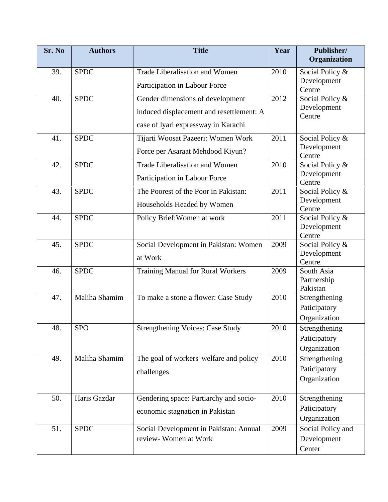| Sr. No | <b>Authors</b> | <b>Title</b>                                                                                                        | Year | <b>Publisher/</b><br>Organization             |
|--------|----------------|---------------------------------------------------------------------------------------------------------------------|------|-----------------------------------------------|
| 39.    | <b>SPDC</b>    | Trade Liberalisation and Women<br>Participation in Labour Force                                                     | 2010 | Social Policy &<br>Development<br>Centre      |
| 40.    | <b>SPDC</b>    | Gender dimensions of development<br>induced displacement and resettlement: A<br>case of lyari expressway in Karachi | 2012 | Social Policy &<br>Development<br>Centre      |
| 41.    | <b>SPDC</b>    | Tijarti Woosat Pazeeri: Women Work<br>Force per Asaraat Mehdood Kiyun?                                              | 2011 | Social Policy &<br>Development<br>Centre      |
| 42.    | <b>SPDC</b>    | <b>Trade Liberalisation and Women</b><br>Participation in Labour Force                                              | 2010 | Social Policy &<br>Development<br>Centre      |
| 43.    | <b>SPDC</b>    | The Poorest of the Poor in Pakistan:<br>Households Headed by Women                                                  | 2011 | Social Policy &<br>Development<br>Centre      |
| 44.    | <b>SPDC</b>    | Policy Brief: Women at work                                                                                         | 2011 | Social Policy &<br>Development<br>Centre      |
| 45.    | <b>SPDC</b>    | Social Development in Pakistan: Women<br>at Work                                                                    | 2009 | Social Policy &<br>Development<br>Centre      |
| 46.    | <b>SPDC</b>    | Training Manual for Rural Workers                                                                                   | 2009 | South Asia<br>Partnership<br>Pakistan         |
| 47.    | Maliha Shamim  | To make a stone a flower: Case Study                                                                                | 2010 | Strengthening<br>Paticipatory<br>Organization |
| 48.    | <b>SPO</b>     | <b>Strengthening Voices: Case Study</b>                                                                             | 2010 | Strengthening<br>Paticipatory<br>Organization |
| 49.    | Maliha Shamim  | The goal of workers' welfare and policy<br>challenges                                                               | 2010 | Strengthening<br>Paticipatory<br>Organization |
| 50.    | Haris Gazdar   | Gendering space: Partiarchy and socio-<br>economic stagnation in Pakistan                                           | 2010 | Strengthening<br>Paticipatory<br>Organization |
| 51.    | <b>SPDC</b>    | Social Development in Pakistan: Annual<br>review- Women at Work                                                     | 2009 | Social Policy and<br>Development<br>Center    |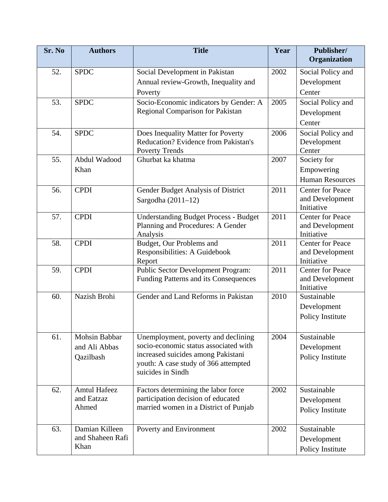| Sr. No | <b>Authors</b>      | <b>Title</b>                                                                      | Year | Publisher/                    |
|--------|---------------------|-----------------------------------------------------------------------------------|------|-------------------------------|
|        |                     |                                                                                   |      | Organization                  |
| 52.    | <b>SPDC</b>         | Social Development in Pakistan                                                    | 2002 | Social Policy and             |
|        |                     | Annual review-Growth, Inequality and                                              |      | Development                   |
|        |                     | Poverty                                                                           |      | Center                        |
| 53.    | <b>SPDC</b>         | Socio-Economic indicators by Gender: A                                            | 2005 | Social Policy and             |
|        |                     | Regional Comparison for Pakistan                                                  |      | Development                   |
|        |                     |                                                                                   |      | Center                        |
| 54.    | <b>SPDC</b>         | Does Inequality Matter for Poverty                                                | 2006 | Social Policy and             |
|        |                     | Reducation? Evidence from Pakistan's                                              |      | Development                   |
|        |                     | Poverty Trends                                                                    |      | Center                        |
| 55.    | Abdul Wadood        | Ghurbat ka khatma                                                                 | 2007 | Society for                   |
|        | Khan                |                                                                                   |      | Empowering                    |
|        |                     |                                                                                   |      | <b>Human Resources</b>        |
| 56.    | <b>CPDI</b>         | Gender Budget Analysis of District                                                | 2011 | <b>Center for Peace</b>       |
|        |                     | Sargodha $(2011-12)$                                                              |      | and Development               |
|        |                     |                                                                                   |      | Initiative                    |
| 57.    | <b>CPDI</b>         | <b>Understanding Budget Process - Budget</b><br>Planning and Procedures: A Gender | 2011 | <b>Center for Peace</b>       |
|        |                     | Analysis                                                                          |      | and Development<br>Initiative |
| 58.    | <b>CPDI</b>         | Budget, Our Problems and                                                          | 2011 | <b>Center for Peace</b>       |
|        |                     | Responsibilities: A Guidebook                                                     |      | and Development               |
|        |                     | Report                                                                            |      | Initiative                    |
| 59.    | <b>CPDI</b>         | Public Sector Development Program:                                                | 2011 | <b>Center for Peace</b>       |
|        |                     | Funding Patterns and its Consequences                                             |      | and Development               |
|        |                     |                                                                                   |      | Initiative                    |
| 60.    | Nazish Brohi        | Gender and Land Reforms in Pakistan                                               | 2010 | Sustainable                   |
|        |                     |                                                                                   |      | Development                   |
|        |                     |                                                                                   |      | Policy Institute              |
| 61.    | Mohsin Babbar       | Unemployment, poverty and declining                                               | 2004 | Sustainable                   |
|        | and Ali Abbas       | socio-economic status associated with                                             |      | Development                   |
|        | Qazilbash           | increased suicides among Pakistani                                                |      | Policy Institute              |
|        |                     | youth: A case study of 366 attempted                                              |      |                               |
|        |                     | suicides in Sindh                                                                 |      |                               |
| 62.    | <b>Amtul Hafeez</b> | Factors determining the labor force                                               | 2002 | Sustainable                   |
|        | and Eatzaz          | participation decision of educated                                                |      | Development                   |
|        | Ahmed               | married women in a District of Punjab                                             |      | Policy Institute              |
|        |                     |                                                                                   |      |                               |
| 63.    | Damian Killeen      | Poverty and Environment                                                           | 2002 | Sustainable                   |
|        | and Shaheen Rafi    |                                                                                   |      | Development                   |
|        | Khan                |                                                                                   |      | Policy Institute              |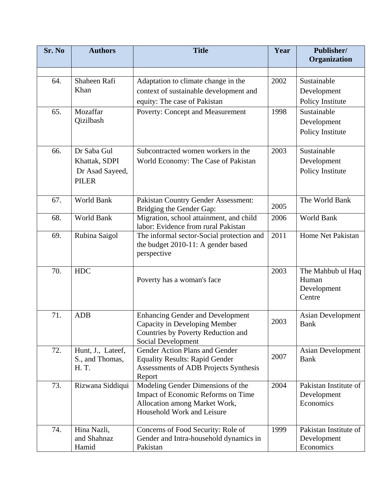| Sr. No | <b>Authors</b>                                                  | <b>Title</b>                                                                                                                           | Year | Publisher/<br>Organization                          |
|--------|-----------------------------------------------------------------|----------------------------------------------------------------------------------------------------------------------------------------|------|-----------------------------------------------------|
|        |                                                                 |                                                                                                                                        |      |                                                     |
| 64.    | Shaheen Rafi<br>Khan                                            | Adaptation to climate change in the<br>context of sustainable development and<br>equity: The case of Pakistan                          | 2002 | Sustainable<br>Development<br>Policy Institute      |
| 65.    | Mozaffar<br>Qizilbash                                           | Poverty: Concept and Measurement                                                                                                       | 1998 | Sustainable<br>Development<br>Policy Institute      |
| 66.    | Dr Saba Gul<br>Khattak, SDPI<br>Dr Asad Sayeed,<br><b>PILER</b> | Subcontracted women workers in the<br>World Economy: The Case of Pakistan                                                              | 2003 | Sustainable<br>Development<br>Policy Institute      |
| 67.    | World Bank                                                      | <b>Pakistan Country Gender Assessment:</b><br>Bridging the Gender Gap:                                                                 | 2005 | The World Bank                                      |
| 68.    | World Bank                                                      | Migration, school attainment, and child<br>labor: Evidence from rural Pakistan                                                         | 2006 | World Bank                                          |
| 69.    | Rubina Saigol                                                   | The informal sector-Social protection and<br>the budget 2010-11: A gender based<br>perspective                                         | 2011 | Home Net Pakistan                                   |
| 70.    | <b>HDC</b>                                                      | Poverty has a woman's face                                                                                                             | 2003 | The Mahbub ul Haq<br>Human<br>Development<br>Centre |
| 71.    | <b>ADB</b>                                                      | <b>Enhancing Gender and Development</b><br>Capacity in Developing Member<br>Countries by Poverty Reduction and<br>Social Development   | 2003 | <b>Asian Development</b><br><b>Bank</b>             |
| 72.    | Hunt, J., Lateef,<br>S., and Thomas,<br>H.T.                    | Gender Action Plans and Gender<br><b>Equality Results: Rapid Gender</b><br>Assessments of ADB Projects Synthesis<br>Report             | 2007 | <b>Asian Development</b><br><b>Bank</b>             |
| 73.    | Rizwana Siddiqui                                                | Modeling Gender Dimensions of the<br>Impact of Economic Reforms on Time<br>Allocation among Market Work,<br>Household Work and Leisure | 2004 | Pakistan Institute of<br>Development<br>Economics   |
| 74.    | Hina Nazli,<br>and Shahnaz<br>Hamid                             | Concerns of Food Security: Role of<br>Gender and Intra-household dynamics in<br>Pakistan                                               | 1999 | Pakistan Institute of<br>Development<br>Economics   |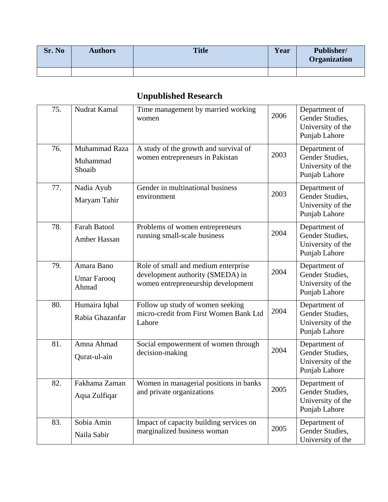| Sr. No | <b>Authors</b> | <b>Title</b> | Year | Publisher/<br><b>Organization</b> |
|--------|----------------|--------------|------|-----------------------------------|
|        |                |              |      |                                   |

## **Unpublished Research**

| 75. | Nudrat Kamal                              | Time management by married working<br>women                                                                   | 2006 | Department of<br>Gender Studies,<br>University of the<br>Punjab Lahore |
|-----|-------------------------------------------|---------------------------------------------------------------------------------------------------------------|------|------------------------------------------------------------------------|
| 76. | Muhammad Raza<br>Muhammad<br>Shoaib       | A study of the growth and survival of<br>women entrepreneurs in Pakistan                                      | 2003 | Department of<br>Gender Studies,<br>University of the<br>Punjab Lahore |
| 77. | Nadia Ayub<br>Maryam Tahir                | Gender in multinational business<br>environment                                                               | 2003 | Department of<br>Gender Studies.<br>University of the<br>Punjab Lahore |
| 78. | <b>Farah Batool</b><br>Amber Hassan       | Problems of women entrepreneurs<br>running small-scale business                                               | 2004 | Department of<br>Gender Studies,<br>University of the<br>Punjab Lahore |
| 79. | Amara Bano<br><b>Umar Farooq</b><br>Ahmad | Role of small and medium enterprise<br>development authority (SMEDA) in<br>women entrepreneurship development | 2004 | Department of<br>Gender Studies,<br>University of the<br>Punjab Lahore |
| 80. | Humaira Iqbal<br>Rabia Ghazanfar          | Follow up study of women seeking<br>micro-credit from First Women Bank Ltd<br>Lahore                          | 2004 | Department of<br>Gender Studies,<br>University of the<br>Punjab Lahore |
| 81. | Amna Ahmad<br>Qurat-ul-ain                | Social empowerment of women through<br>decision-making                                                        | 2004 | Department of<br>Gender Studies,<br>University of the<br>Punjab Lahore |
| 82. | Fakhama Zaman<br>Aqsa Zulfiqar            | Women in managerial positions in banks<br>and private organizations                                           | 2005 | Department of<br>Gender Studies,<br>University of the<br>Punjab Lahore |
| 83. | Sobia Amin<br>Naila Sabir                 | Impact of capacity building services on<br>marginalized business woman                                        | 2005 | Department of<br>Gender Studies,<br>University of the                  |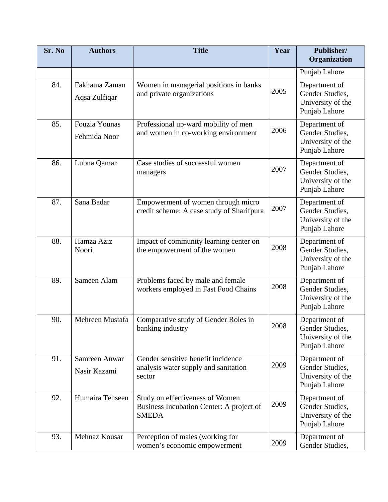| Sr. No | <b>Authors</b>                 | <b>Title</b>                                                                                | Year | Publisher/<br>Organization                                                   |
|--------|--------------------------------|---------------------------------------------------------------------------------------------|------|------------------------------------------------------------------------------|
|        |                                |                                                                                             |      | Punjab Lahore                                                                |
| 84.    | Fakhama Zaman<br>Aqsa Zulfiqar | Women in managerial positions in banks<br>and private organizations                         | 2005 | Department of<br>Gender Studies,<br>University of the<br>Punjab Lahore       |
| 85.    | Fouzia Younas<br>Fehmida Noor  | Professional up-ward mobility of men<br>and women in co-working environment                 | 2006 | Department of<br>Gender Studies,<br>University of the<br>Punjab Lahore       |
| 86.    | Lubna Qamar                    | Case studies of successful women<br>managers                                                | 2007 | Department of<br>Gender Studies,<br>University of the<br>Punjab Lahore       |
| 87.    | Sana Badar                     | Empowerment of women through micro<br>credit scheme: A case study of Sharifpura             | 2007 | Department of<br>Gender Studies,<br>University of the<br>Punjab Lahore       |
| 88.    | Hamza Aziz<br>Noori            | Impact of community learning center on<br>the empowerment of the women                      | 2008 | Department of<br>Gender Studies,<br>University of the<br>Punjab Lahore       |
| 89.    | Sameen Alam                    | Problems faced by male and female<br>workers employed in Fast Food Chains                   | 2008 | Department of<br>Gender Studies,<br>University of the<br>Punjab Lahore       |
| 90.    | Mehreen Mustafa                | Comparative study of Gender Roles in<br>banking industry                                    | 2008 | Department of<br><b>Gender Studies</b><br>University of the<br>Punjab Lahore |
| 91.    | Samreen Anwar<br>Nasir Kazami  | Gender sensitive benefit incidence<br>analysis water supply and sanitation<br>sector        | 2009 | Department of<br>Gender Studies,<br>University of the<br>Punjab Lahore       |
| 92.    | Humaira Tehseen                | Study on effectiveness of Women<br>Business Incubation Center: A project of<br><b>SMEDA</b> | 2009 | Department of<br>Gender Studies,<br>University of the<br>Punjab Lahore       |
| 93.    | Mehnaz Kousar                  | Perception of males (working for<br>women's economic empowerment                            | 2009 | Department of<br>Gender Studies,                                             |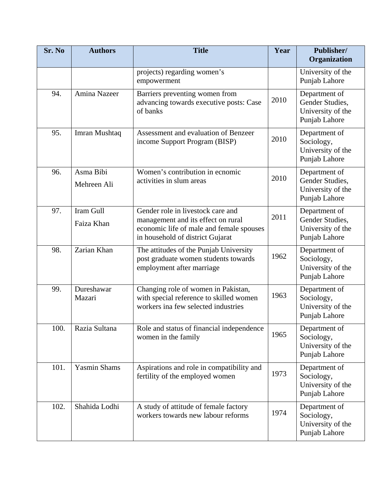| Sr. No | <b>Authors</b>           | <b>Title</b>                                                                                                                                            | Year | Publisher/<br>Organization                                             |
|--------|--------------------------|---------------------------------------------------------------------------------------------------------------------------------------------------------|------|------------------------------------------------------------------------|
|        |                          | projects) regarding women's<br>empowerment                                                                                                              |      | University of the<br>Punjab Lahore                                     |
| 94.    | Amina Nazeer             | Barriers preventing women from<br>advancing towards executive posts: Case<br>of banks                                                                   | 2010 | Department of<br>Gender Studies,<br>University of the<br>Punjab Lahore |
| 95.    | Imran Mushtaq            | Assessment and evaluation of Benzeer<br>income Support Program (BISP)                                                                                   | 2010 | Department of<br>Sociology,<br>University of the<br>Punjab Lahore      |
| 96.    | Asma Bibi<br>Mehreen Ali | Women's contribution in ecnomic<br>activities in slum areas                                                                                             | 2010 | Department of<br>Gender Studies,<br>University of the<br>Punjab Lahore |
| 97.    | Iram Gull<br>Faiza Khan  | Gender role in livestock care and<br>management and its effect on rural<br>economic life of male and female spouses<br>in household of district Gujarat | 2011 | Department of<br>Gender Studies,<br>University of the<br>Punjab Lahore |
| 98.    | Zarian Khan              | The attitudes of the Punjab University<br>post graduate women students towards<br>employment after marriage                                             | 1962 | Department of<br>Sociology,<br>University of the<br>Punjab Lahore      |
| 99.    | Dureshawar<br>Mazari     | Changing role of women in Pakistan,<br>with special reference to skilled women<br>workers ina few selected industries                                   | 1963 | Department of<br>Sociology,<br>University of the<br>Punjab Lahore      |
| 100.   | Razia Sultana            | Role and status of financial independence<br>women in the family                                                                                        | 1965 | Department of<br>Sociology,<br>University of the<br>Punjab Lahore      |
| 101.   | <b>Yasmin Shams</b>      | Aspirations and role in compatibility and<br>fertility of the employed women                                                                            | 1973 | Department of<br>Sociology,<br>University of the<br>Punjab Lahore      |
| 102.   | Shahida Lodhi            | A study of attitude of female factory<br>workers towards new labour reforms                                                                             | 1974 | Department of<br>Sociology,<br>University of the<br>Punjab Lahore      |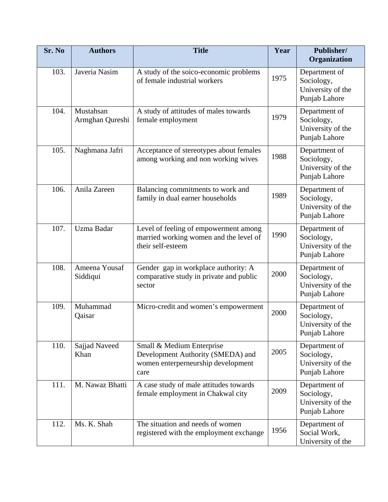| Sr. No | <b>Authors</b>               | <b>Title</b>                                                                                                 | Year | Publisher/<br>Organization                                        |
|--------|------------------------------|--------------------------------------------------------------------------------------------------------------|------|-------------------------------------------------------------------|
| 103.   | Javeria Nasim                | A study of the soico-economic problems<br>of female industrial workers                                       | 1975 | Department of<br>Sociology,<br>University of the<br>Punjab Lahore |
| 104.   | Mustahsan<br>Armghan Qureshi | A study of attitudes of males towards<br>female employment                                                   | 1979 | Department of<br>Sociology,<br>University of the<br>Punjab Lahore |
| 105.   | Naghmana Jafri               | Acceptance of stereotypes about females<br>among working and non working wives                               | 1988 | Department of<br>Sociology,<br>University of the<br>Punjab Lahore |
| 106.   | Anila Zareen                 | Balancing commitments to work and<br>family in dual earner households                                        | 1989 | Department of<br>Sociology,<br>University of the<br>Punjab Lahore |
| 107.   | Uzma Badar                   | Level of feeling of empowerment among<br>married working women and the level of<br>their self-esteem         | 1990 | Department of<br>Sociology,<br>University of the<br>Punjab Lahore |
| 108.   | Ameena Yousaf<br>Siddiqui    | Gender gap in workplace authority: A<br>comparative study in private and public<br>sector                    | 2000 | Department of<br>Sociology,<br>University of the<br>Punjab Lahore |
| 109.   | Muhammad<br>Qaisar           | Micro-credit and women's empowerment                                                                         | 2000 | Department of<br>Sociology,<br>University of the<br>Punjab Lahore |
| 110.   | Sajjad Naveed<br>Khan        | Small & Medium Enterprise<br>Development Authority (SMEDA) and<br>women enterperneurship development<br>care | 2005 | Department of<br>Sociology,<br>University of the<br>Punjab Lahore |
| 111.   | M. Nawaz Bhatti              | A case study of male attitudes towards<br>female employment in Chakwal city                                  | 2009 | Department of<br>Sociology,<br>University of the<br>Punjab Lahore |
| 112.   | Ms. K. Shah                  | The situation and needs of women<br>registered with the employment exchange                                  | 1956 | Department of<br>Social Work,<br>University of the                |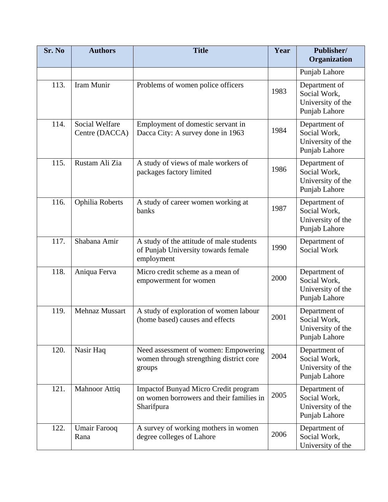| Sr. No | <b>Authors</b>                          | <b>Title</b>                                                                                   | Year | Publisher/<br>Organization                                          |
|--------|-----------------------------------------|------------------------------------------------------------------------------------------------|------|---------------------------------------------------------------------|
|        |                                         |                                                                                                |      | Punjab Lahore                                                       |
| 113.   | Iram Munir                              | Problems of women police officers                                                              | 1983 | Department of<br>Social Work,<br>University of the<br>Punjab Lahore |
| 114.   | <b>Social Welfare</b><br>Centre (DACCA) | Employment of domestic servant in<br>Dacca City: A survey done in 1963                         | 1984 | Department of<br>Social Work,<br>University of the<br>Punjab Lahore |
| 115.   | Rustam Ali Zia                          | A study of views of male workers of<br>packages factory limited                                | 1986 | Department of<br>Social Work,<br>University of the<br>Punjab Lahore |
| 116.   | Ophilia Roberts                         | A study of career women working at<br>banks                                                    | 1987 | Department of<br>Social Work,<br>University of the<br>Punjab Lahore |
| 117.   | Shabana Amir                            | A study of the attitude of male students<br>of Punjab University towards female<br>employment  | 1990 | Department of<br>Social Work                                        |
| 118.   | Aniqua Ferva                            | Micro credit scheme as a mean of<br>empowerment for women                                      | 2000 | Department of<br>Social Work,<br>University of the<br>Punjab Lahore |
| 119.   | Mehnaz Mussart                          | A study of exploration of women labour<br>(home based) causes and effects                      | 2001 | Department of<br>Social Work,<br>University of the<br>Punjab Lahore |
| 120.   | Nasir Haq                               | Need assessment of women: Empowering<br>women through strengthing district core<br>groups      | 2004 | Department of<br>Social Work,<br>University of the<br>Punjab Lahore |
| 121.   | <b>Mahnoor Attiq</b>                    | Impactof Bunyad Micro Credit program<br>on women borrowers and their families in<br>Sharifpura | 2005 | Department of<br>Social Work,<br>University of the<br>Punjab Lahore |
| 122.   | Umair Farooq<br>Rana                    | A survey of working mothers in women<br>degree colleges of Lahore                              | 2006 | Department of<br>Social Work,<br>University of the                  |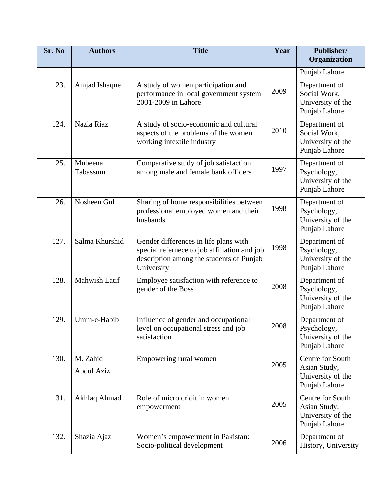| Sr. No | <b>Authors</b>         | <b>Title</b>                                                                                                                                    | Year | Publisher/<br>Organization                                             |
|--------|------------------------|-------------------------------------------------------------------------------------------------------------------------------------------------|------|------------------------------------------------------------------------|
|        |                        |                                                                                                                                                 |      | Punjab Lahore                                                          |
| 123.   | Amjad Ishaque          | A study of women participation and<br>performance in local government system<br>2001-2009 in Lahore                                             | 2009 | Department of<br>Social Work,<br>University of the<br>Punjab Lahore    |
| 124.   | Nazia Riaz             | A study of socio-economic and cultural<br>aspects of the problems of the women<br>working intextile industry                                    | 2010 | Department of<br>Social Work,<br>University of the<br>Punjab Lahore    |
| 125.   | Mubeena<br>Tabassum    | Comparative study of job satisfaction<br>among male and female bank officers                                                                    | 1997 | Department of<br>Psychology,<br>University of the<br>Punjab Lahore     |
| 126.   | Nosheen Gul            | Sharing of home responsibilities between<br>professional employed women and their<br>husbands                                                   | 1998 | Department of<br>Psychology,<br>University of the<br>Punjab Lahore     |
| 127.   | Salma Khurshid         | Gender differences in life plans with<br>special refernece to job affiliation and job<br>description among the students of Punjab<br>University | 1998 | Department of<br>Psychology,<br>University of the<br>Punjab Lahore     |
| 128.   | Mahwish Latif          | Employee satisfaction with reference to<br>gender of the Boss                                                                                   | 2008 | Department of<br>Psychology,<br>University of the<br>Punjab Lahore     |
| 129.   | Umm-e-Habib            | Influence of gender and occupational<br>level on occupational stress and job<br>satisfaction                                                    | 2008 | Department of<br>Psychology,<br>University of the<br>Punjab Lahore     |
| 130.   | M. Zahid<br>Abdul Aziz | Empowering rural women                                                                                                                          | 2005 | Centre for South<br>Asian Study,<br>University of the<br>Punjab Lahore |
| 131.   | Akhlaq Ahmad           | Role of micro cridit in women<br>empowerment                                                                                                    | 2005 | Centre for South<br>Asian Study,<br>University of the<br>Punjab Lahore |
| 132.   | Shazia Ajaz            | Women's empowerment in Pakistan:<br>Socio-political development                                                                                 | 2006 | Department of<br>History, University                                   |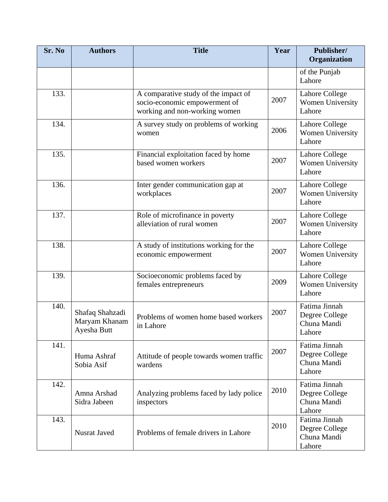| Sr. No | <b>Authors</b>                                  | <b>Title</b>                                                                                           | Year | Publisher/<br>Organization                               |
|--------|-------------------------------------------------|--------------------------------------------------------------------------------------------------------|------|----------------------------------------------------------|
|        |                                                 |                                                                                                        |      | of the Punjab<br>Lahore                                  |
| 133.   |                                                 | A comparative study of the impact of<br>socio-economic empowerment of<br>working and non-working women | 2007 | Lahore College<br>Women University<br>Lahore             |
| 134.   |                                                 | A survey study on problems of working<br>women                                                         | 2006 | Lahore College<br>Women University<br>Lahore             |
| 135.   |                                                 | Financial exploitation faced by home<br>based women workers                                            | 2007 | Lahore College<br>Women University<br>Lahore             |
| 136.   |                                                 | Inter gender communication gap at<br>workplaces                                                        | 2007 | Lahore College<br>Women University<br>Lahore             |
| 137.   |                                                 | Role of microfinance in poverty<br>alleviation of rural women                                          | 2007 | Lahore College<br>Women University<br>Lahore             |
| 138.   |                                                 | A study of institutions working for the<br>economic empowerment                                        | 2007 | <b>Lahore College</b><br>Women University<br>Lahore      |
| 139.   |                                                 | Socioeconomic problems faced by<br>females entrepreneurs                                               | 2009 | <b>Lahore College</b><br>Women University<br>Lahore      |
| 140.   | Shafaq Shahzadi<br>Maryam Khanam<br>Ayesha Butt | Problems of women home based workers<br>in Lahore                                                      | 2007 | Fatima Jinnah<br>Degree College<br>Chuna Mandi<br>Lahore |
| 141.   | Huma Ashraf<br>Sobia Asif                       | Attitude of people towards women traffic<br>wardens                                                    | 2007 | Fatima Jinnah<br>Degree College<br>Chuna Mandi<br>Lahore |
| 142.   | Amna Arshad<br>Sidra Jabeen                     | Analyzing problems faced by lady police<br>inspectors                                                  | 2010 | Fatima Jinnah<br>Degree College<br>Chuna Mandi<br>Lahore |
| 143.   | Nusrat Javed                                    | Problems of female drivers in Lahore                                                                   | 2010 | Fatima Jinnah<br>Degree College<br>Chuna Mandi<br>Lahore |